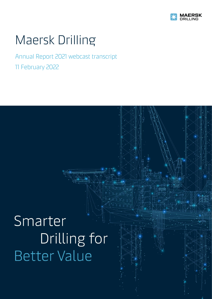

# Maersk Drilling

# Annual Report 2021 webcast transcript 11 February 2022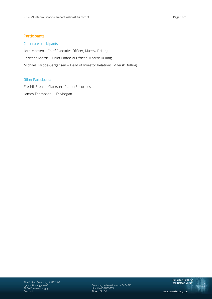# Corporate participants

Jørn Madsen – Chief Executive Officer, Maersk Drilling Christine Morris – Chief Financial Officer, Maersk Drilling Michael Harboe-Jørgensen – Head of Investor Relations, Maersk Drilling

# Other Participants

Fredrik Stene – Clarksons Platou Securities James Thompson – JP Morgan

Lyngby Hovedgade 85 Company registration no. 40404716 Denmark Ticker: DRLCO www.maerskdrilling.com

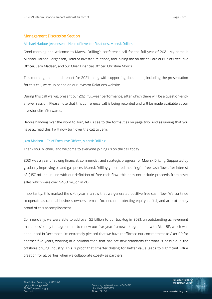# Management Discussion Section

# Michael Harboe-Jørgensen – Head of Investor Relations, Maersk Drilling

Good morning and welcome to Maersk Drilling's conference call for the full year of 2021. My name is Michael Harboe-Jørgensen, Head of Investor Relations, and joining me on the call are our Chief Executive Officer, Jørn Madsen, and our Chief Financial Officer, Christine Morris.

This morning, the annual report for 2021, along with supporting documents, including the presentation for this call, were uploaded on our Investor Relations website.

During this call we will present our 2021 full-year performance, after which there will be a question-andanswer session. Please note that this conference call is being recorded and will be made available at our Investor site afterwards.

Before handing over the word to Jørn, let us see to the formalities on page two. And assuming that you have all read this, I will now turn over the call to Jørn.

# Jørn Madsen – Chief Executive Officer, Maersk Drilling

Thank you, Michael, and welcome to everyone joining us on the call today.

2021 was a year of strong financial, commercial, and strategic progress for Maersk Drilling. Supported by gradually improving oil and gas prices, Maersk Drilling generated meaningful free cash flow after interest of \$157 million. In line with our definition of free cash flow, this does not include proceeds from asset sales which were over \$400 million in 2021.

Importantly, this marked the sixth year in a row that we generated positive free cash flow. We continue to operate as rational business owners, remain focused on protecting equity capital, and are extremely proud of this accomplishment.

Commercially, we were able to add over \$2 billion to our backlog in 2021, an outstanding achievement made possible by the agreement to renew our five-year framework agreement with Aker BP, which was announced in December. I'm extremely pleased that we have reaffirmed our commitment to Aker BP for another five years, working in a collaboration that has set new standards for what is possible in the offshore drilling industry. This is proof that smarter drilling for better value leads to significant value creation for all parties when we collaborate closely as partners.

Company registration no. 40404716 Denmark Ticker: DRLCO www.maerskdrilling.com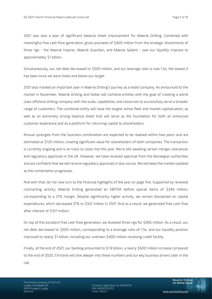2021 was also a year of significant balance sheet improvement for Maersk Drilling. Combined with meaningful free cash flow generation, gross proceeds of \$405 million from the strategic divestments of three rigs - the Maersk Inspirer, Maersk Guardian, and Maersk Gallant - saw our liquidity improve to approximately \$1 billion.

Simultaneously, our net debt decreased to \$505 million, and our leverage ratio is now 1.5x; the lowest it has been since we were listed and below our target.

2021 also marked an important year in Maersk Drilling's journey as a listed company. As announced to the market in November, Maersk Drilling and Noble will combine entities with the goal of creating a world class offshore drilling company with the scale, capabilities, and resources to successfully serve a broader range of customers. The combined entity will have the largest active fleet and market capitalisation, as well as an extremely strong balance sheet that will serve as the foundation for both an enhanced customer experience and as a platform for returning capital to shareholders.

Annual synergies from the business combination are expected to be realised within two years and are estimated at \$125 million, creating significant value for shareholders of both companies. The transaction is currently ongoing and is on track to close mid this year. We're still awaiting certain merger clearances and regulatory approvals in the UK. However, we have received approval from the Norwegian authorities and are confident that we will receive regulatory approvals in due course. We will keep the market updated as the combination progresses.

And with that, let me now turn to the financial highlights of the year on page five. Supported by renewed contracting activity, Maersk Drilling generated an EBITDA before special items of \$346 million, corresponding to a 27% margin. Despite significantly higher activity, we remain disciplined on capital expenditures, which decreased 37% to \$102 million in 2021. And as a result, we generated free cash flow after interest of \$157 million.

On top of this excellent free cash flow generation, we divested three rigs for \$405 million. As a result, our net debt decreased to \$505 million, corresponding to a leverage ratio of 1.5x, and our liquidity position improved to nearly \$1 billion, including our undrawn \$400 million revolving credit facility.

Finally, at the end of 2021, our backlog amounted to \$1.9 billion, a nearly \$600 million increase compared to the end of 2020. Christine will dive deeper into these numbers and our key business drivers later in the call.

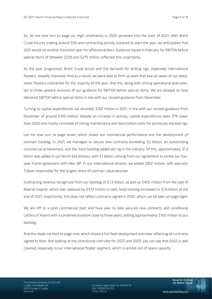So, let me now turn to page six. High uncertainty in 2020 persisted into the start of 2021. With Brent Crude futures trading around \$50 and contracting activity subdued to start the year, we anticipated that 2021 would be another transition year for offshore drillers. Guidance issued in February for EBITDA before special items of between \$225 and \$275 million reflected this uncertainty.

As the year progressed, Brent Crude prices and the demand for drilling rigs, especially international floaters, steadily improved. And as a result, we were able to firm up work that saw all seven of our deepwater floaters contracted for the majority of the year. And this, along with strong operational execution, led to three upward revisions of our guidance for EBITDA before special items. We are pleased to have delivered EBITDA before special items in line with our revised guidance from December.

Turning to capital expenditures, we recorded \$102 million in 2021, in line with our revised guidance from December of around \$100 million. Despite an increase in activity, capital expenditures were 37% lower than 2020 and mainly consisted of rolling maintenance and reactivation costs for previously stacked rigs.

Let me now turn to page seven, which shows our commercial performance and the development of contract backlog. In 2021, we managed to secure new contracts exceeding \$2 billion, an outstanding commercial achievement, and the most backlog added per rig in the industry. Of this, approximately \$1.2 billion was added in our North Sea division, with \$1 billion coming from our agreement to renew our fiveyear frame agreement with Aker BP. In our International division, we added \$812 million, with operator Tullow responsible for the largest share of contract value secured.

Subtracting revenue recognised from our backlog of \$1.3 billion, as well as \$420 million from the sale of Maersk Inspirer, which was replaced by \$373 million in cash, total backlog increased to \$1.9 billion at the end of 2021. Importantly, this does not reflect contracts signed in 2022, which can be seen on page eight.

We are off to a solid commercial start and have year to date secured new contracts and conditional Letters of Award with a combined duration close to three years, adding approximately \$100 million to our backlog.

And this leads me then to page nine, which shows a full fleet deployment overview reflecting all contracts signed to date. And looking at the contractual overview for 2022 and 2023, you can see that 2022 is well covered, especially in our international floater segment, which is almost out of spare capacity.

Company registration no. 40404716<br>ISIN: DK0061135753 Denmark Ticker: DRLCO www.maerskdrilling.com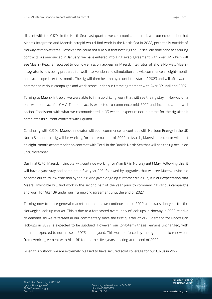I'll start with the CJ70s in the North Sea. Last quarter, we communicated that it was our expectation that Maersk Integrator and Maersk Intrepid would find work in the North Sea in 2022, potentially outside of Norway at market rates. However, we could not rule out that both rigs could see idle time prior to securing contracts. As announced in January, we have entered into a rig swap agreement with Aker BP, which will see Maersk Reacher replaced by our low emission jack-up rig, Maersk Integrator, offshore Norway. Maersk Integrator is now being prepared for well intervention and stimulation and will commence an eight-month contract scope later this month. The rig will then be employed until the start of 2023 and will afterwards commence various campaigns and work scope under our frame agreement with Aker BP until end 2027.

Turning to Maersk Intrepid, we were able to firm up drilling work that will see the rig stay in Norway on a one-well contract for OMV. The contract is expected to commence mid-2022 and includes a one-well option. Consistent with what we communicated in Q3 we still expect minor idle time for the rig after it completes its current contract with Equinor.

Continuing with CJ70s, Maersk Innovator will soon commence its contract with Harbour Energy in the UK North Sea and the rig will be working for the remainder of 2022. In March, Maersk Interceptor will start an eight-month accommodation contract with Total in the Danish North Sea that will see the rig occupied until November.

Our final CJ70, Maersk Invincible, will continue working for Aker BP in Norway until May. Following this, it will have a yard stay and complete a five-year SPS, followed by upgrades that will see Maersk Invincible become our third low emission hybrid rig. And given ongoing customer dialogue, it is our expectation that Maersk Invincible will find work in the second half of the year prior to commencing various campaigns and work for Aker BP under our framework agreement until the end of 2027.

Turning now to more general market comments, we continue to see 2022 as a transition year for the Norwegian jack-up market. This is due to a forecasted oversupply of jack-ups in Norway in 2022 relative to demand. As we reiterated in our commentary since the first quarter of 2021, demand for Norwegian jack-ups in 2022 is expected to be subdued. However, our long-term thesis remains unchanged, with demand expected to normalise in 2023 and beyond. This was reinforced by the agreement to renew our framework agreement with Aker BP for another five years starting at the end of 2022.

Given this outlook, we are extremely pleased to have secured solid coverage for our CJ70s in 2022.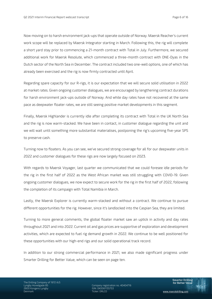Now moving on to harsh environment jack-ups that operate outside of Norway. Maersk Reacher's current work scope will be replaced by Maersk Integrator starting in March. Following this, the rig will complete a short yard stay prior to commencing a 21-month contract with Total in July. Furthermore, we secured additional work for Maersk Resolute, which commenced a three-month contract with ONE-Dyas in the Dutch sector of the North Sea in December. The contract included two one-well options, one of which has already been exercised and the rig is now firmly contracted until April.

Regarding spare capacity for our R-rigs, it is our expectation that we will secure solid utilisation in 2022 at market rates. Given ongoing customer dialogues, we are encouraged by lengthening contract durations for harsh environment jack-ups outside of Norway. And while day rates have not recovered at the same pace as deepwater floater rates, we are still seeing positive market developments in this segment.

Finally, Maersk Highlander is currently idle after completing its contract with Total in the UK North Sea and the rig is now warm-stacked. We have been in contact, in customer dialogue regarding the unit and we will wait until something more substantial materialises, postponing the rig's upcoming five-year SPS to preserve cash.

Turning now to floaters. As you can see, we've secured strong coverage for all for our deepwater units in 2022 and customer dialogues for these rigs are now largely focused on 2023.

With regards to Maersk Voyager, last quarter we communicated that we could foresee idle periods for the rig in the first half of 2022 as the West African market was still struggling with COVID-19. Given ongoing customer dialogues, we now expect to secure work for the rig in the first half of 2022, following the completion of its campaign with Total Namibia in March.

Lastly, the Maersk Explorer is currently warm-stacked and without a contract. We continue to pursue different opportunities for the rig. However, since it's landlocked into the Caspian Sea, they are limited.

Turning to more general comments, the global floater market saw an uptick in activity and day rates throughout 2021 and into 2022. Current oil and gas prices are supportive of exploration and development activities, which are expected to fuel rig demand growth in 2022. We continue to be well positioned for these opportunities with our high-end rigs and our solid operational track record.

In addition to our strong commercial performance in 2021, we also made significant progress under Smarter Drilling for Better Value, which can be seen on page ten.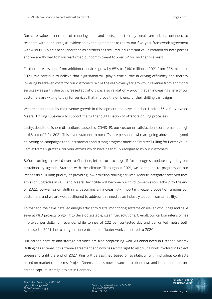Our core value proposition of reducing time and costs, and thereby breakeven prices, continued to resonate with our clients, as evidenced by the agreement to renew our five-year framework agreement with Aker BP. This close collaboration as partners has resulted in significant value creation for both parties and we are thrilled to have reaffirmed our commitment to Aker BP for another five years.

Furthermore, revenue from additional services grew by 85% to \$160 million in 2021 from \$86 million in 2020. We continue to believe that digitisation will play a crucial role in driving efficiency and thereby lowering breakeven costs for our customers. While the year-over-year growth in revenue from additional services was partly due to increased activity, it was also validation – proof that an increasing share of our customers are willing to pay for services that improve the efficiency of their drilling campaigns.

We are encouraged by the revenue growth in this segment and have launched Horizon56, a fully-owned Maersk Drilling subsidiary to support the further digitalisation of offshore drilling processes.

Lastly, despite offshore disruptions caused by COVID-19, our customer satisfaction score remained high at 6.5 out of 7 for 2021. This is a testament to our offshore personnel who are going above and beyond delivering on campaigns for our customers and strong progress made on Smarter Drilling for Better Value. I am extremely grateful for your efforts which have been fully recognised by our customers.

Before turning the word over to Christine, let us turn to page 11 for a progress update regarding our sustainability agenda. Starting with the climate. Throughout 2021, we continued to progress on our Responsible Drilling priority of providing low-emission drilling services. Maersk Integrator received lowemission upgrades in 2021 and Maersk Invincible will become our third low-emission jack-up by the end of 2022. Low-emission drilling is becoming an increasingly important value proposition among our customers, and we are well positioned to address this need as an industry leader in sustainability.

To that end, we have installed energy efficiency digital monitoring systems on eleven of our rigs and have several R&D projects ongoing to develop scalable, clean fuel solutions. Overall, our carbon intensity has improved per dollar of revenue, while tonnes of CO2 per contacted day and per drilled metre both increased in 2021 due to a higher concentration of floater work compared to 2020.

Our carbon capture and storage activities are also progressing well. As announced in October, Maersk Drilling has entered into a frame agreement and now has a first right to all drilling work involved in Project Greensand until the end of 2027. Rigs will be assigned based on availability, with individual contracts based on market rate terms. Project Greensand has now advanced to phase two and is the most mature carbon capture storage project in Denmark.

The Drilling Company of 1972 A/S 2800 Kongens Lyngby ISIN: DK0061135753

Company registration no. 40404716<br>ISIN: DK0061135753 Denmark Ticker: DRLCO www.maerskdrilling.com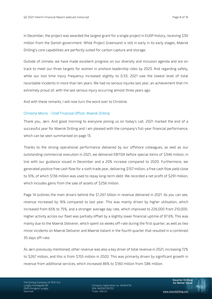In December, the project was awarded the largest grant for a single project in EUDP history, receiving \$30 million from the Danish government. While Project Greensand is still in early in its early stages, Maersk Drilling's core capabilities are perfectly suited for carbon capture and storage.

Outside of climate, we have made excellent progress on our diversity and inclusion agenda and are on track to meet our three targets for women in onshore leadership roles by 2023. And regarding safety, while our lost time injury frequency increased slightly to 0.53, 2021 saw the lowest level of total recordable incidents in more than ten years. We had no serious injuries last year, an achievement that I'm extremely proud of, with the last serious injury occurring almost three years ago.

And with these remarks, I will now turn the word over to Christine.

#### Christine Morris – Chief Financial Officer, Maersk Drilling

Thank you, Jørn. And good morning to everyone joining us on today's call. 2021 marked the end of a successful year for Maersk Drilling and I am pleased with the company's full-year financial performance, which can be seen summarised on page 13.

Thanks to the strong operational performance delivered by our offshore colleagues, as well as our outstanding commercial execution in 2021, we delivered EBITDA before special items of \$346 million, in line with our guidance issued in December and a 20% increase compared to 2020. Furthermore, we generated positive free cash flow for a sixth trade year, delivering \$157 million; a free cash flow yield close to 10%, of which \$136 million was used to repay long-term debt. We recorded a net profit of \$291 million, which includes gains from the sale of assets of \$256 million.

Page 14 outlines the main drivers behind the \$1.267 billion in revenue delivered in 2021. As you can see, revenue increased by 16% compared to last year. This was mainly driven by higher utilisation, which increased from 65% to 75%, and a stronger average day rate, which improved to 226,000 from 210,000. Higher activity across our fleet was partially offset by a slightly lower financial uptime of 97.6%. This was mainly due to the Maersk Deliverer, which spent six weeks off-rate during the first quarter, as well as two minor incidents on Maersk Deliverer and Maersk Valiant in the fourth quarter that resulted in a combined 35 days off-rate.

As Jørn previously mentioned, other revenue was also a key driver of total revenue in 2021, increasing 72% to \$267 million, and this is from \$155 million in 2020. This was primarily driven by significant growth in revenue from additional services, which increased 86% to \$160 million from \$86 million.

Company registration no. 40404716<br>ISIN: DK0061135753 Denmark Ticker: DRLCO www.maerskdrilling.com

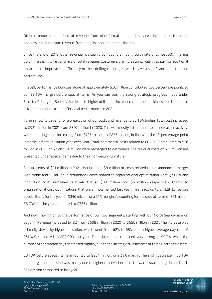Other revenue is comprised of revenue from nine formal additional services, includes performance bonuses, and lump sum revenue from mobilisation and demobilisation.

Since the end of 2019, other revenue has seen a compound annual growth rate of almost 30%, making up an increasingly larger share of total revenue. Customers are increasingly willing to pay for additional services that improve the efficiency of their drilling campaigns, which have a significant impact on our bottom line.

In 2021, performance bonuses alone of approximately \$20 million contributed two percentage points to our EBITDA margin before special items. As you can see, the strong strategic progress made under Smarter Drilling for Better Value leads to higher utilisation, increased customer stickiness, and is the main driver behind our excellent financial performance in 2021.

Turning now to page 16 for a breakdown of our costs and revenue to EBITDA bridge. Total cost increased to \$921 million in 2021 from \$807 million in 2020. This was mostly attributable to an increase in activity, with operating costs increasing from \$725 million to \$836 million, in line with the 10-percentage point increase in fleet utilisation year-over-year. Total incremental costs related to COVID-19 amounted to \$36 million in 2021, of which \$24 million were recharged to customers. The residual costs of \$12 million are presented under special items due to their non-recurring nature.

Special items of \$21 million in 2021 also included \$8 million of costs related to our announced merger with Noble and \$1 million in redundancy costs related to organisational optimization. Lastly, SG&A and innovation costs remained relatively flat at \$80 million and \$5 million respectively, thanks to organisational cost optimisations that were implemented last year. This leads us to an EBITDA before special items for the year of \$346 million, or a 27% margin. Accounting for the special items of \$21 million, EBITDA for the year amounted to \$325 million.

And now, moving on to the performance of our two segments, starting with our North Sea division on page 17. Revenue increased by 8% from \$608 million in 2020 to \$656 million in 2021. The increase was primarily driven by higher utilisation, which went from 62% to 68%, and a higher average day rate of 231,000 compared to 208,000 last year. Financial uptime remained very strong at 99.3%, while the number of contracted days decreased slightly, due to the strategic divestments of three North Sea assets.

EBITDA before special items amounted to \$254 million, or a 39% margin. The slight decrease in EBITDA and margin compression was mainly due to higher reactivation costs for warm-stacked rigs in our North Sea division compared to last year.

Company registration no. 40404716<br>ISIN: DK0061135753 Denmark Ticker: DRLCO www.maerskdrilling.com

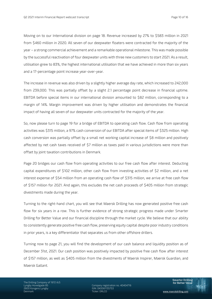Moving on to our International division on page 18. Revenue increased by 27% to \$583 million in 2021 from \$460 million in 2020. All seven of our deepwater floaters were contracted for the majority of the year – a strong commercial achievement and a remarkable operational milestone. This was made possible by the successful reactivation of four deepwater units with three new customers to start 2021. As a result, utilisation grew to 83%, the highest international utilisation that we have achieved in more than six years and a 17-percentage point increase year-over-year.

The increase in revenue was also driven by a slightly higher average day rate, which increased to 242,000 from 239,000. This was partially offset by a slight 2.1 percentage point decrease in financial uptime. EBITDA before special items in our international division amounted to \$82 million, corresponding to a margin of 14%. Margin improvement was driven by higher utilisation and demonstrates the financial impact of having all seven of our deepwater units contracted for the majority of the year.

So, now please turn to page 19 for a bridge of EBITDA to operating cash flow. Cash flow from operating activities was \$315 million, a 97% cash conversion of our EBITDA after special items of \$325 million. High cash conversion was partially offset by a small net working capital increase of \$8 million and positively affected by net cash taxes received of \$7 million as taxes paid in various jurisdictions were more than offset by joint taxation contributions in Denmark.

Page 20 bridges our cash flow from operating activities to our free cash flow after interest. Deducting capital expenditures of \$102 million, other cash flow from investing activities of \$2 million, and a net interest expense of \$54 million from an operating cash flow of \$315 million, we arrive at free cash flow of \$157 million for 2021. And again, this excludes the net cash proceeds of \$405 million from strategic divestments made during the year.

Turning to the right-hand chart, you will see that Maersk Drilling has now generated positive free cash flow for six years in a row. This is further evidence of strong strategic progress made under Smarter Drilling for Better Value and our financial discipline through the market cycle. We believe that our ability to consistently generate positive free cash flow, preserving equity capital despite poor industry conditions in prior years, is a key differentiator that separates us from other offshore drillers.

Turning now to page 21, you will find the development of our cash balance and liquidity position as of December 31st, 2021. Our cash position was positively impacted by positive free cash flow after interest of \$157 million, as well as \$405 million from the divestments of Maersk Inspirer, Maersk Guardian, and Maersk Gallant.

Company registration no. 40404716<br>ISIN: DK0061135753 Denmark Ticker: DRLCO www.maerskdrilling.com

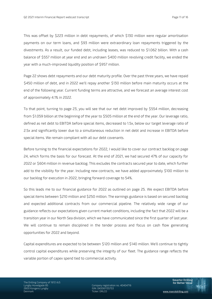This was offset by \$223 million in debt repayments, of which \$130 million were regular amortisation payments on our term loans, and \$93 million were extraordinary loan repayments triggered by the divestments. As a result, our funded debt, including leases, was reduced to \$1.062 billion. With a cash balance of \$557 million at year end and an undrawn \$400 million revolving credit facility, we ended the year with a much-improved liquidity position of \$957 million.

Page 22 shows debt repayments and our debt maturity profile. Over the past three years, we have repaid \$450 million of debt, and in 2022 we'll repay another \$130 million before main maturity occurs at the end of the following year. Current funding terms are attractive, and we forecast an average interest cost of approximately 4.1% in 2022.

To that point, turning to page 23, you will see that our net debt improved by \$554 million, decreasing from \$1.059 billion at the beginning of the year to \$505 million at the end of the year. Our leverage ratio, defined as net debt to EBITDA before special items, decreased to 1.5x, below our target leverage ratio of 2.5x and significantly lower due to a simultaneous reduction in net debt and increase in EBITDA before special items. We remain compliant with all our debt covenants.

Before turning to the financial expectations for 2022, I would like to cover our contract backlog on page 24, which forms the basis for our forecast. At the end of 2021, we had secured 47% of our capacity for 2022 or \$604 million in revenue backlog. This excludes the contracts secured year to date, which further add to the visibility for the year. Including new contracts, we have added approximately \$100 million to our backlog for execution in 2022, bringing forward coverage to 54%.

So this leads me to our financial guidance for 2022 as outlined on page 25. We expect EBITDA before special items between \$210 million and \$250 million. The earnings guidance is based on secured backlog and expected additional contracts from our commercial pipeline. The relatively wide range of our guidance reflects our expectations given current market conditions, including the fact that 2022 will be a transition year in our North Sea division, which we have communicated since the first quarter of last year. We will continue to remain disciplined in the tender process and focus on cash flow generating opportunities for 2022 and beyond.

Capital expenditures are expected to be between \$120 million and \$140 million. We'll continue to tightly control capital expenditures while preserving the integrity of our fleet. The guidance range reflects the variable portion of capex spend tied to commercial activity.

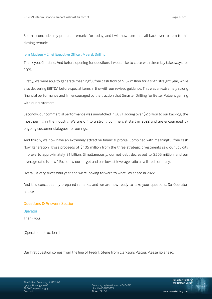So, this concludes my prepared remarks for today, and I will now turn the call back over to Jørn for his closing remarks.

# Jørn Madsen – Chief Executive Officer, Maersk Drilling

Thank you, Christine. And before opening for questions, I would like to close with three key takeaways for 2021.

Firstly, we were able to generate meaningful free cash flow of \$157 million for a sixth straight year, while also delivering EBITDA before special items in line with our revised guidance. This was an extremely strong financial performance and I'm encouraged by the traction that Smarter Drilling for Better Value is gaining with our customers.

Secondly, our commercial performance was unmatched in 2021, adding over \$2 billion to our backlog, the most per rig in the industry. We are off to a strong commercial start in 2022 and are encouraged by ongoing customer dialogues for our rigs.

And thirdly, we now have an extremely attractive financial profile. Combined with meaningful free cash flow generation, gross proceeds of \$405 million from the three strategic divestments saw our liquidity improve to approximately \$1 billion. Simultaneously, our net debt decreased to \$505 million, and our leverage ratio is now 1.5x, below our target and our lowest leverage ratio as a listed company.

Overall, a very successful year and we're looking forward to what lies ahead in 2022.

And this concludes my prepared remarks, and we are now ready to take your questions. So Operator, please.

# Questions & Answers Section

**Operator** 

Thank you.

[Operator instructions]

Our first question comes from the line of Fredrik Stene from Clarksons Platou. Please go ahead.

Company registration no. 40404716 Denmark Ticker: DRLCO www.maerskdrilling.com

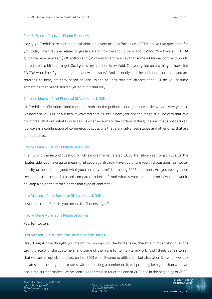#### Fredrik Stene – Clarksons Platou Securities

Hey guys, Fredrik here and congratulations on a very nice performance in 2021. I have two questions for you today. The first one relates to guidance and how we should think about 2022. You have an EBITDA guidance here between \$210 million and \$250 million and you say that some additional contracts would be required to hit that target. So, I guess my question is twofold. Can you guide on anything or how that EBITDA would be if you don't get any new contracts? And secondly, are the additional contracts you are referring to here, are they based on discussions or lines that are already open? Or do you assume something that hasn't started yet, to put it that way?

#### Christine Morris – Chief Financial Officer, Maersk Drilling

Hi, Fredrik. It's Christine. Good morning. Yeah, on the guidance, our guidance is like we do every year, so we never have 100% of our activity covered coming into a new year and the range is in line with that. We don't break that out. What I would say it's when in terms of the portion of the guidelines that's not secured, it always is a combination of commercial discussions that are in advanced stages and other ones that are still to be had.

# Fredrik Stene – Clarksons Platou Securities

Thanks. And the second question, which is more market related. 2022, transition year for jack-ups. On the floater side, you have quite meaningful coverage already. Have you or are you in discussions for floater activity or contracts beyond what you currently have? I'm talking 2023 and more. Are you seeing more term contracts being discussed compared to before? And what is your take here on how rates would develop also on the term side for that type of contract?

#### Jørn Madsen – Chief Executive Officer, Maersk Drilling

Just to be clear, Fredrik, you meant for floaters, right?

#### Fredrik Stene – Clarksons Platou Securities

Yes, for floaters.

#### Jørn Madsen – Chief Executive Officer, Maersk Drilling

Okay. I might have thought you meant for jack-ups. On the floater side, there's a number of discussions taking place with the customers, and some of them are for longer-term work. And I think it's fair to say that we saw an uptick in the last part of 2021 when it came to utilisation, but also when it – when we look at rates and the longer-term rates, without putting a number on it, will probably be higher than what we see in the current market. We've seen a good trend so far at the end of 2021 and in the beginning of 2022.

Lyndbade 85 Company registration no. 40404716 Denmark Ticker: DRLCO www.maerskdrilling.com

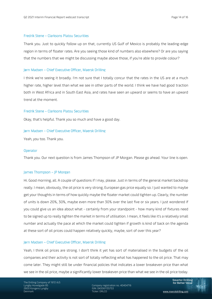#### Fredrik Stene – Clarksons Platou Securities

Thank you. Just to quickly follow up on that, currently US Gulf of Mexico is probably the leading-edge region in terms of floater rates. Are you seeing those kind of numbers also elsewhere? Or are you saying that the numbers that we might be discussing maybe above those, if you're able to provide colour?

#### Jørn Madsen – Chief Executive Officer, Maersk Drilling

I think we're seeing it broadly. I'm not sure that I totally concur that the rates in the US are at a much higher rate, higher level than what we see in other parts of the world. I think we have had good traction both in West Africa and in South East Asia, and rates have seen an upward or seems to have an upward trend at the moment.

# Fredrik Stene – Clarksons Platou Securities

Okay, that's helpful. Thank you so much and have a good day.

#### Jørn Madsen – Chief Executive Officer, Maersk Drilling

Yeah, you too. Thank you.

#### **Operator**

Thank you. Our next question is from James Thompson of JP Morgan. Please go ahead. Your line is open.

#### James Thompson – JP Morgan

Hi. Good morning, all. A couple of questions if I may, please. Just in terms of the general market backdrop really. I mean, obviously, the oil price is very strong, European gas price equally so. I just wanted to maybe get your thoughts in terms of how quickly maybe the floater market could tighten up. Clearly, the number of units is down 20%, 30%, maybe even more than 30% over the last five or six years. I just wondered if you could give us an idea about what - certainly from your standpoint - how many kind of fixtures need to be signed up to really tighten the market in terms of utilisation. I mean, it feels like it's a relatively small number and actually the pace at which the market could tighten if growth is kind of back on the agenda at these sort of oil prices could happen relatively quickly, maybe, sort of over this year?

# Jørn Madsen – Chief Executive Officer, Maersk Drilling

Yeah, I think oil prices are strong. I don't think it yet has sort of materialised in the budgets of the oil companies and their activity is not sort of totally reflecting what has happened to the oil price. That may come later. They might still be under financial policies that indicates a lower breakeven price than what we see in the oil price, maybe a significantly lower breakeven price than what we see in the oil price today.

The Drilling Company of 1972 A/S<br>Lyngby Hovedgade 85 2800 Kongens Lyngby ISIN: DK0061135753

Company registration no. 40404716<br>ISIN: DK0061135753 Denmark Ticker: DRLCO www.maerskdrilling.com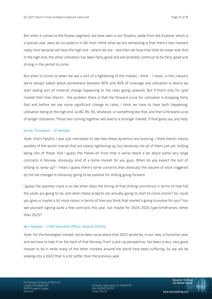But when it comes to the floater segment, we have seen in our floaters, aside from the Explorer which is a special case, were all occupied in in Q4. And I think what we are witnessing is that there's two markets really here because we have the high end - where we are - and then we have that little bit lower end. And in the high end, the other utilisation has been fairly good and will probably continue to be fairly good and strong in the period to come.

But when it comes to when we see a sort of a tightening of the market, I think - I mean, in this industry we've always talked about somewhere between 80% and 90% of coverage and utilisation is where we start seeing sort of material change happening to the rates going upwards. But if that's only for spot market then then there's - the problem there is that the forward curve for utilisation is dropping fairly fast and before we see some significant change to rates, I think we have to have both happening; utilisation being at the high end, so 80, 85, 90, whatever, or something like that, and then a forward curve of longer utilisation. Those two coming together will lead to a stronger market, if that gives you any help.

#### James Thompson – JP Morgan

Yeah, that's helpful. I was just interested to see how these dynamics are evolving. I think there's clearly pockets of the sector overall that are clearly tightening up, but obviously not all of them just yet, drilling being one of those. And I guess the follow-on from that is we've heard a lot about some very large contracts in Norway, obviously, kind of a home market for you guys. When do you expect the sort of drilling to ramp-up? I mean, I guess there's some concerns that obviously the volume of work triggered by the tax changes is obviously going to be positive for drilling going forward.

I guess the question mark is on like when does the timing of that drilling commence in terms of how full the yards are going to be, and when these projects are actually going to start to come online? So, could you give us maybe a bit more colour in terms of how you think that market's going to evolve for you? You see yourself signing quite a few contracts this year, but maybe for 2024, 2025 type timeframes rather than 2023?

#### Jørn Madsen – Chief Executive Officer, Maersk Drilling

Yeah, for the Norwegian market, we've been vocal about that 2022 would be, in our view, a transition year and we have to take it on the back of that Norway, from a jack-up perspective, has been a very, very good market to be in while many of the other markets around the world have been suffering. So, we will be looking into a 2022 that is a bit softer than the previous year.

Company registration no. 40404716<br>ISIN: DK0061135753 Denmark Ticker: DRLCO www.maerskdrilling.com